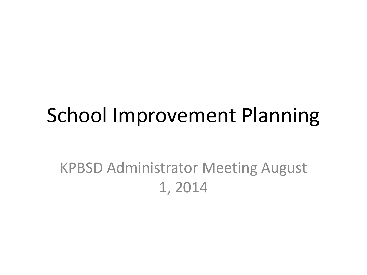#### School Improvement Planning

#### KPBSD Administrator Meeting August 1, 2014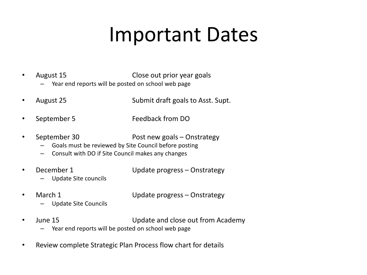#### Important Dates

- August 15 Close out prior year goals
	- Year end reports will be posted on school web page
- August 25 Submit draft goals to Asst. Supt.
- September 5 Feedback from DO
- September 30 Post new goals Onstrategy
	- Goals must be reviewed by Site Council before posting
	- Consult with DO if Site Council makes any changes
- December 1 Update progress Onstrategy
	- Update Site councils
- 

• March 1 Update progress – Onstrategy

- Update Site Councils
- June 15 Update and close out from Academy
	- Year end reports will be posted on school web page
- Review complete Strategic Plan Process flow chart for details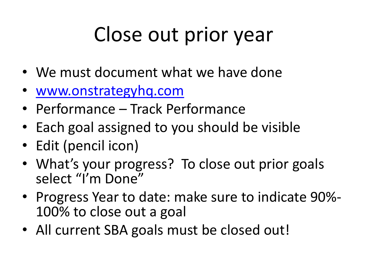# Close out prior year

- We must document what we have done
- [www.onstrategyhq.com](http://www.onstrategyhq.com/)
- Performance Track Performance
- Each goal assigned to you should be visible
- Edit (pencil icon)
- What's your progress? To close out prior goals select "I'm Done"
- Progress Year to date: make sure to indicate 90%- 100% to close out a goal
- All current SBA goals must be closed out!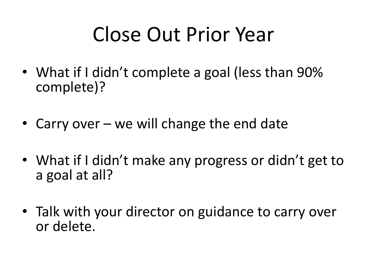# Close Out Prior Year

- What if I didn't complete a goal (less than 90% complete)?
- Carry over we will change the end date
- What if I didn't make any progress or didn't get to a goal at all?
- Talk with your director on guidance to carry over or delete.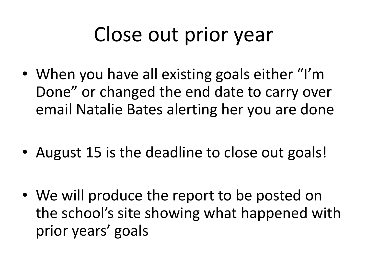## Close out prior year

- When you have all existing goals either "I'm Done" or changed the end date to carry over email Natalie Bates alerting her you are done
- August 15 is the deadline to close out goals!
- We will produce the report to be posted on the school's site showing what happened with prior years' goals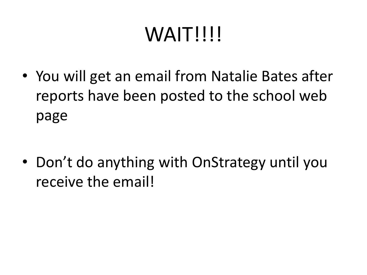# WAIT!!!!

• You will get an email from Natalie Bates after reports have been posted to the school web page

• Don't do anything with OnStrategy until you receive the email!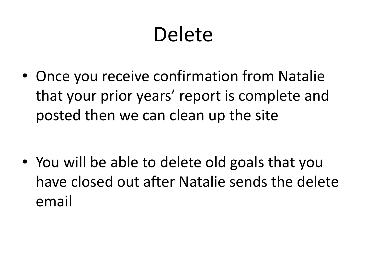# Delete

• Once you receive confirmation from Natalie that your prior years' report is complete and posted then we can clean up the site

• You will be able to delete old goals that you have closed out after Natalie sends the delete email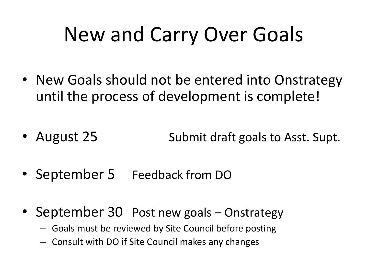#### New and Carry Over Goals

- New Goals should not be entered into Onstrategy until the process of development is complete!
- August 25 Submit draft goals to Asst. Supt.
- September 5 Feedback from DO
- September 30 Post new goals Onstrategy
	- Goals must be reviewed by Site Council before posting
	- Consult with DO if Site Council makes any changes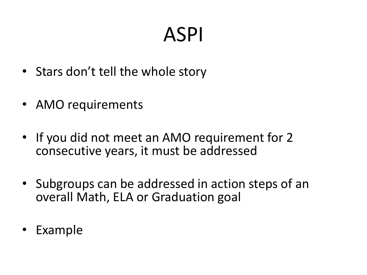#### ASPI

- Stars don't tell the whole story
- AMO requirements
- If you did not meet an AMO requirement for 2 consecutive years, it must be addressed
- Subgroups can be addressed in action steps of an overall Math, ELA or Graduation goal
- Example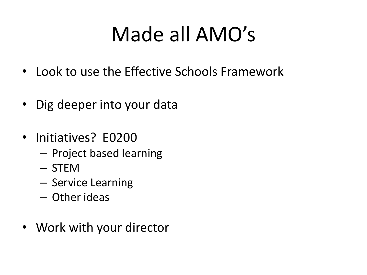# Made all AMO's

- Look to use the Effective Schools Framework
- Dig deeper into your data
- Initiatives? E0200
	- Project based learning
	- STEM
	- Service Learning
	- Other ideas
- Work with your director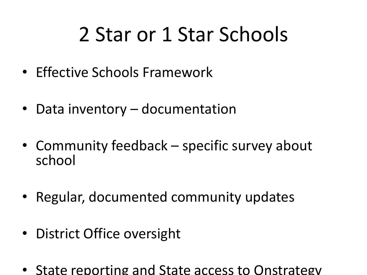# 2 Star or 1 Star Schools

- Effective Schools Framework
- Data inventory documentation
- Community feedback specific survey about school
- Regular, documented community updates
- District Office oversight
- State reporting and State access to Onstrategy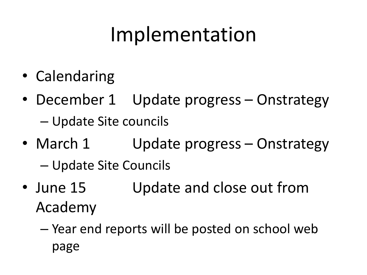#### Implementation

- Calendaring
- December 1 Update progress Onstrategy – Update Site councils
- March 1 Update progress Onstrategy – Update Site Councils
- June 15 Update and close out from Academy
	- Year end reports will be posted on school web page